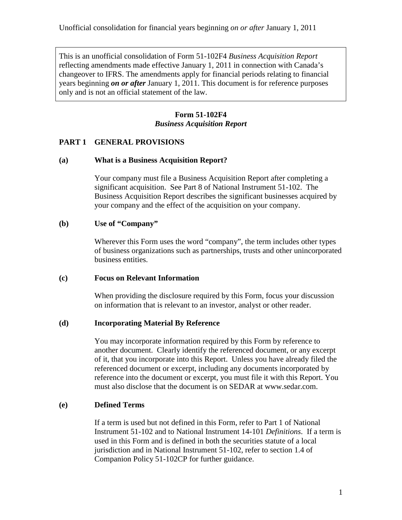This is an unofficial consolidation of Form 51-102F4 *Business Acquisition Report* reflecting amendments made effective January 1, 2011 in connection with Canada's changeover to IFRS. The amendments apply for financial periods relating to financial years beginning *on or after* January 1, 2011. This document is for reference purposes only and is not an official statement of the law.

# **Form 51-102F4** *Business Acquisition Report*

### **PART 1 GENERAL PROVISIONS**

#### **(a) What is a Business Acquisition Report?**

Your company must file a Business Acquisition Report after completing a significant acquisition. See Part 8 of National Instrument 51-102. The Business Acquisition Report describes the significant businesses acquired by your company and the effect of the acquisition on your company.

### **(b) Use of "Company"**

Wherever this Form uses the word "company", the term includes other types of business organizations such as partnerships, trusts and other unincorporated business entities.

### **(c) Focus on Relevant Information**

When providing the disclosure required by this Form, focus your discussion on information that is relevant to an investor, analyst or other reader.

### **(d) Incorporating Material By Reference**

You may incorporate information required by this Form by reference to another document. Clearly identify the referenced document, or any excerpt of it, that you incorporate into this Report. Unless you have already filed the referenced document or excerpt, including any documents incorporated by reference into the document or excerpt, you must file it with this Report. You must also disclose that the document is on SEDAR at www.sedar.com.

### **(e) Defined Terms**

If a term is used but not defined in this Form, refer to Part 1 of National Instrument 51-102 and to National Instrument 14-101 *Definitions*. If a term is used in this Form and is defined in both the securities statute of a local jurisdiction and in National Instrument 51-102, refer to section 1.4 of Companion Policy 51-102CP for further guidance.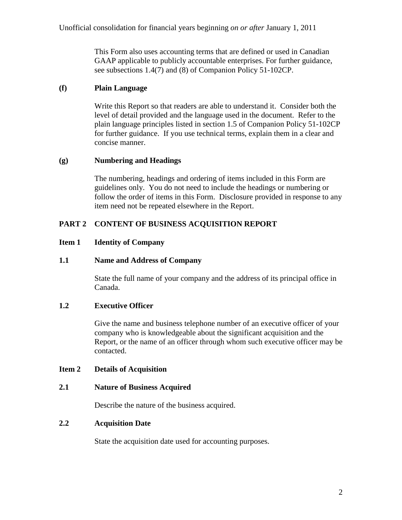This Form also uses accounting terms that are defined or used in Canadian GAAP applicable to publicly accountable enterprises. For further guidance, see subsections 1.4(7) and (8) of Companion Policy 51-102CP.

## **(f) Plain Language**

Write this Report so that readers are able to understand it. Consider both the level of detail provided and the language used in the document. Refer to the plain language principles listed in section 1.5 of Companion Policy 51-102CP for further guidance. If you use technical terms, explain them in a clear and concise manner.

## **(g) Numbering and Headings**

The numbering, headings and ordering of items included in this Form are guidelines only. You do not need to include the headings or numbering or follow the order of items in this Form. Disclosure provided in response to any item need not be repeated elsewhere in the Report.

## **PART 2 CONTENT OF BUSINESS ACQUISITION REPORT**

## **Item 1 Identity of Company**

### **1.1 Name and Address of Company**

State the full name of your company and the address of its principal office in Canada.

### **1.2 Executive Officer**

Give the name and business telephone number of an executive officer of your company who is knowledgeable about the significant acquisition and the Report, or the name of an officer through whom such executive officer may be contacted.

### **Item 2 Details of Acquisition**

### **2.1 Nature of Business Acquired**

Describe the nature of the business acquired.

### **2.2 Acquisition Date**

State the acquisition date used for accounting purposes.